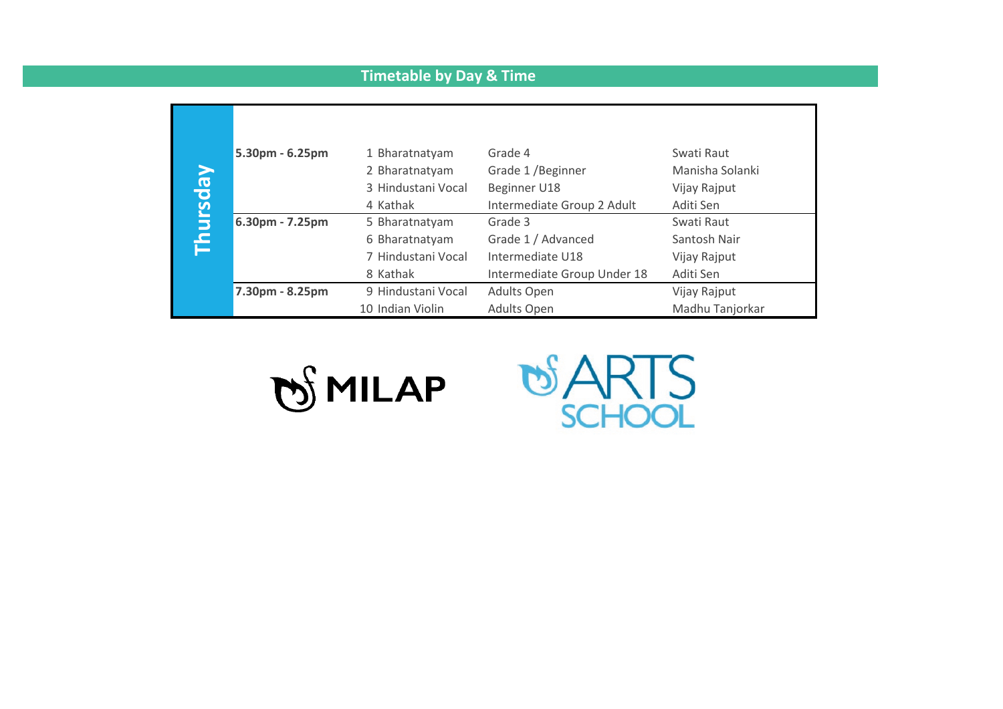## **Timetable by Day & Time**

| Thursday | 5.30pm - 6.25pm | 1 Bharatnatyam<br>2 Bharatnatyam       | Grade 4<br>Grade 1 / Beginner                   | Swati Raut<br>Manisha Solanki   |
|----------|-----------------|----------------------------------------|-------------------------------------------------|---------------------------------|
|          |                 | 3 Hindustani Vocal<br>4 Kathak         | Beginner U18<br>Intermediate Group 2 Adult      | Vijay Rajput<br>Aditi Sen       |
|          | 6.30pm - 7.25pm | 5 Bharatnatyam<br>6 Bharatnatyam       | Grade 3<br>Grade 1 / Advanced                   | Swati Raut<br>Santosh Nair      |
|          |                 | 7 Hindustani Vocal<br>8 Kathak         | Intermediate U18<br>Intermediate Group Under 18 | Vijay Rajput<br>Aditi Sen       |
|          | 7.30pm - 8.25pm | 9 Hindustani Vocal<br>10 Indian Violin | <b>Adults Open</b><br>Adults Open               | Vijay Rajput<br>Madhu Tanjorkar |